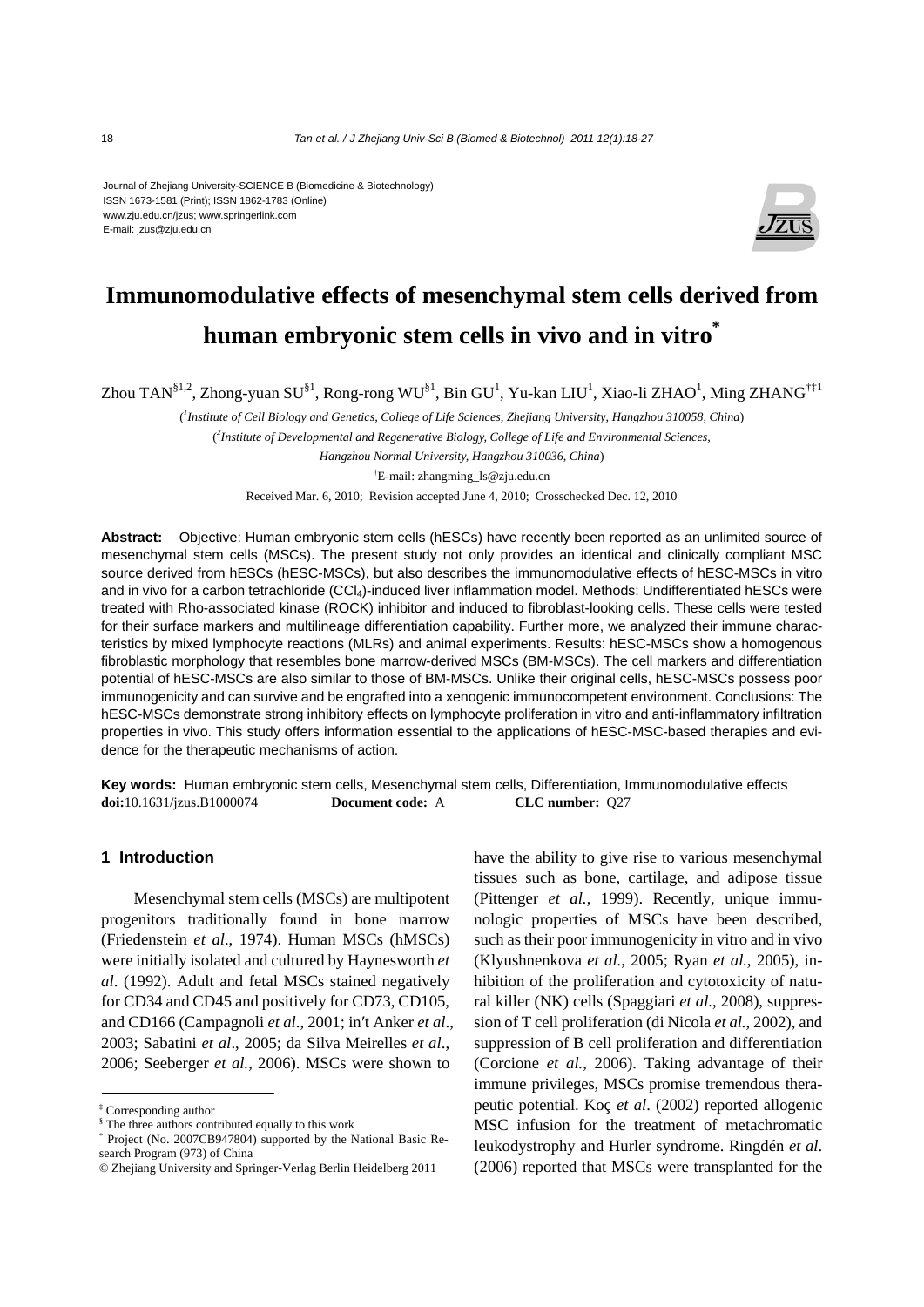#### Journal of Zhejiang University-SCIENCE B (Biomedicine & Biotechnology) ISSN 1673-1581 (Print); ISSN 1862-1783 (Online) www.zju.edu.cn/jzus; www.springerlink.com E-mail: jzus@zju.edu.cn



# **Immunomodulative effects of mesenchymal stem cells derived from human embryonic stem cells in vivo and in vitro\***

Zhou TAN $^{§1,2}$ , Zhong-yuan SU $^{§1}$ , Rong-rong WU $^{§1}$ , Bin GU $^1$ , Yu-kan LIU $^1$ , Xiao-li ZHAO $^1$ , Ming ZHANG $^{\dagger\ddagger 1}$ 

( *1 Institute of Cell Biology and Genetics, College of Life Sciences, Zhejiang University, Hangzhou 310058, China*) ( *2 Institute of Developmental and Regenerative Biology, College of Life and Environmental Sciences, Hangzhou Normal University, Hangzhou 310036, China*) † E-mail: zhangming\_ls@zju.edu.cn Received Mar. 6, 2010; Revision accepted June 4, 2010; Crosschecked Dec. 12, 2010

**Abstract:** Objective: Human embryonic stem cells (hESCs) have recently been reported as an unlimited source of mesenchymal stem cells (MSCs). The present study not only provides an identical and clinically compliant MSC source derived from hESCs (hESC-MSCs), but also describes the immunomodulative effects of hESC-MSCs in vitro and in vivo for a carbon tetrachloride (CCl4)-induced liver inflammation model. Methods: Undifferentiated hESCs were treated with Rho-associated kinase (ROCK) inhibitor and induced to fibroblast-looking cells. These cells were tested for their surface markers and multilineage differentiation capability. Further more, we analyzed their immune characteristics by mixed lymphocyte reactions (MLRs) and animal experiments. Results: hESC-MSCs show a homogenous fibroblastic morphology that resembles bone marrow-derived MSCs (BM-MSCs). The cell markers and differentiation potential of hESC-MSCs are also similar to those of BM-MSCs. Unlike their original cells, hESC-MSCs possess poor immunogenicity and can survive and be engrafted into a xenogenic immunocompetent environment. Conclusions: The hESC-MSCs demonstrate strong inhibitory effects on lymphocyte proliferation in vitro and anti-inflammatory infiltration properties in vivo. This study offers information essential to the applications of hESC-MSC-based therapies and evidence for the therapeutic mechanisms of action.

**Key words:** Human embryonic stem cells, Mesenchymal stem cells, Differentiation, Immunomodulative effects **doi:**10.1631/jzus.B1000074 **Document code:** A **CLC number:** Q27

# **1 Introduction**

Mesenchymal stem cells (MSCs) are multipotent progenitors traditionally found in bone marrow (Friedenstein *et al*., 1974). Human MSCs (hMSCs) were initially isolated and cultured by Haynesworth *et al*. (1992). Adult and fetal MSCs stained negatively for CD34 and CD45 and positively for CD73, CD105, and CD166 (Campagnoli *et al*., 2001; in′t Anker *et al*., 2003; Sabatini *et al*., 2005; da Silva Meirelles *et al*., 2006; Seeberger *et al.*, 2006). MSCs were shown to

have the ability to give rise to various mesenchymal tissues such as bone, cartilage, and adipose tissue (Pittenger *et al.*, 1999). Recently, unique immunologic properties of MSCs have been described, such as their poor immunogenicity in vitro and in vivo (Klyushnenkova *et al.*, 2005; Ryan *et al.*, 2005), inhibition of the proliferation and cytotoxicity of natural killer (NK) cells (Spaggiari *et al.*, 2008), suppression of T cell proliferation (di Nicola *et al.*, 2002), and suppression of B cell proliferation and differentiation (Corcione *et al.*, 2006). Taking advantage of their immune privileges, MSCs promise tremendous therapeutic potential. Koç *et al*. (2002) reported allogenic MSC infusion for the treatment of metachromatic leukodystrophy and Hurler syndrome. Ringdén *et al*. (2006) reported that MSCs were transplanted for the

<sup>‡</sup> Corresponding author

<sup>§</sup> The three authors contributed equally to this work

<sup>\*</sup> Project (No. 2007CB947804) supported by the National Basic Research Program (973) of China

<sup>©</sup> Zhejiang University and Springer-Verlag Berlin Heidelberg 2011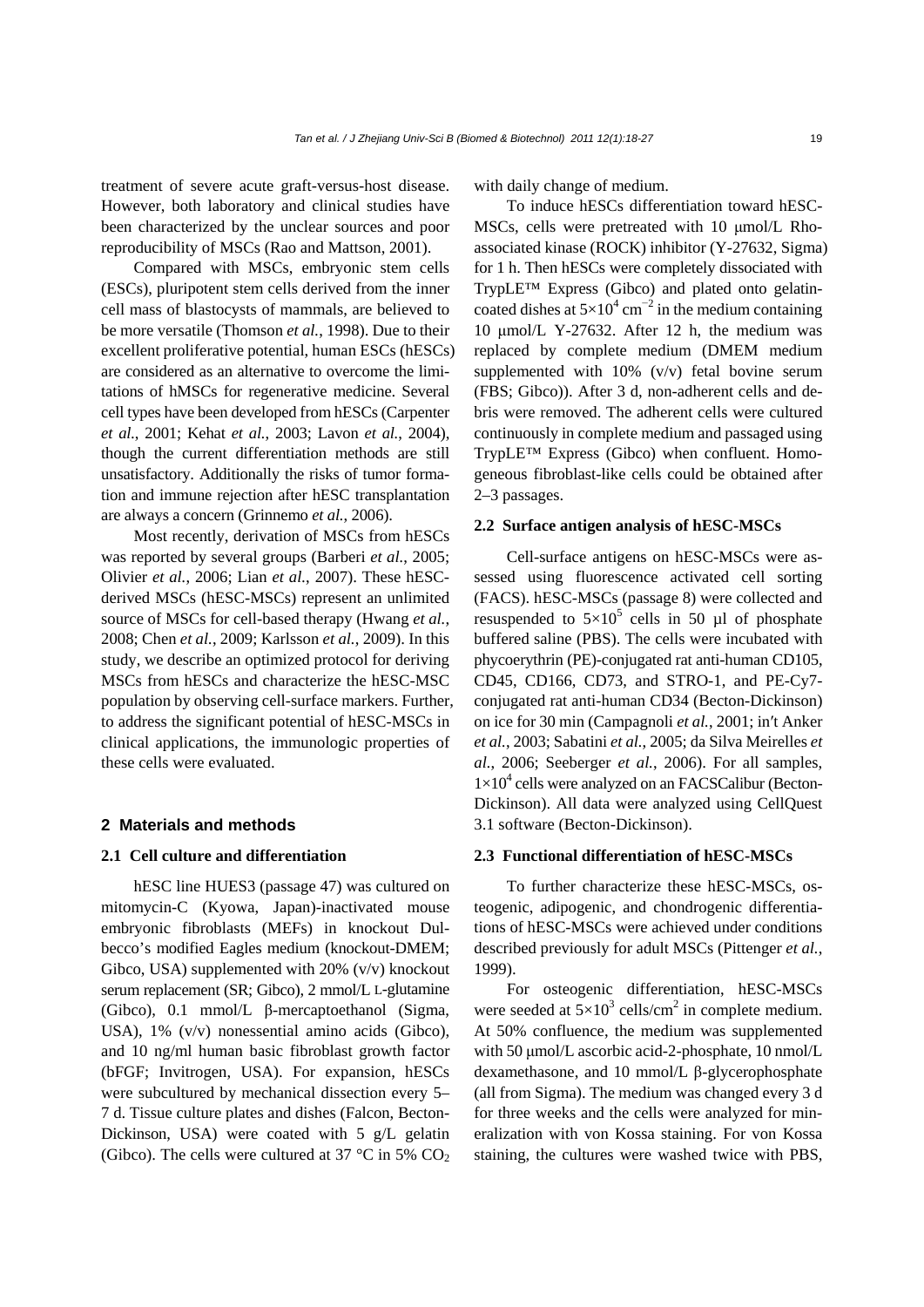treatment of severe acute graft-versus-host disease. However, both laboratory and clinical studies have been characterized by the unclear sources and poor reproducibility of MSCs (Rao and Mattson, 2001).

Compared with MSCs, embryonic stem cells (ESCs), pluripotent stem cells derived from the inner cell mass of blastocysts of mammals, are believed to be more versatile (Thomson *et al.*, 1998). Due to their excellent proliferative potential, human ESCs (hESCs) are considered as an alternative to overcome the limitations of hMSCs for regenerative medicine. Several cell types have been developed from hESCs (Carpenter *et al.*, 2001; Kehat *et al.*, 2003; Lavon *et al.*, 2004), though the current differentiation methods are still unsatisfactory. Additionally the risks of tumor formation and immune rejection after hESC transplantation are always a concern (Grinnemo *et al.*, 2006).

Most recently, derivation of MSCs from hESCs was reported by several groups (Barberi *et al.*, 2005; Olivier *et al.*, 2006; Lian *et al.*, 2007). These hESCderived MSCs (hESC-MSCs) represent an unlimited source of MSCs for cell-based therapy (Hwang *et al.*, 2008; Chen *et al.*, 2009; Karlsson *et al.*, 2009). In this study, we describe an optimized protocol for deriving MSCs from hESCs and characterize the hESC-MSC population by observing cell-surface markers. Further, to address the significant potential of hESC-MSCs in clinical applications, the immunologic properties of these cells were evaluated.

# **2 Materials and methods**

### **2.1 Cell culture and differentiation**

hESC line HUES3 (passage 47) was cultured on mitomycin-C (Kyowa, Japan)-inactivated mouse embryonic fibroblasts (MEFs) in knockout Dulbecco's modified Eagles medium (knockout-DMEM; Gibco, USA) supplemented with  $20\%$  (v/v) knockout serum replacement (SR; Gibco), 2 mmol/L L-glutamine (Gibco), 0.1 mmol/L β-mercaptoethanol (Sigma, USA), 1% (v/v) nonessential amino acids (Gibco), and 10 ng/ml human basic fibroblast growth factor (bFGF; Invitrogen, USA). For expansion, hESCs were subcultured by mechanical dissection every 5– 7 d. Tissue culture plates and dishes (Falcon, Becton-Dickinson, USA) were coated with 5 g/L gelatin (Gibco). The cells were cultured at 37 °C in 5%  $CO<sub>2</sub>$ 

with daily change of medium.

To induce hESCs differentiation toward hESC-MSCs, cells were pretreated with 10 μmol/L Rhoassociated kinase (ROCK) inhibitor (Y-27632, Sigma) for 1 h. Then hESCs were completely dissociated with TrypLE™ Express (Gibco) and plated onto gelatincoated dishes at  $5\times10^4$  cm<sup>-2</sup> in the medium containing 10 μmol/L Y-27632. After 12 h, the medium was replaced by complete medium (DMEM medium supplemented with 10% (v/v) fetal bovine serum (FBS; Gibco)). After 3 d, non-adherent cells and debris were removed. The adherent cells were cultured continuously in complete medium and passaged using TrypLE™ Express (Gibco) when confluent. Homogeneous fibroblast-like cells could be obtained after 2–3 passages.

#### **2.2 Surface antigen analysis of hESC-MSCs**

Cell-surface antigens on hESC-MSCs were assessed using fluorescence activated cell sorting (FACS). hESC-MSCs (passage 8) were collected and resuspended to  $5\times10^5$  cells in 50 µl of phosphate buffered saline (PBS). The cells were incubated with phycoerythrin (PE)-conjugated rat anti-human CD105, CD45, CD166, CD73, and STRO-1, and PE-Cy7 conjugated rat anti-human CD34 (Becton-Dickinson) on ice for 30 min (Campagnoli *et al.*, 2001; in′t Anker *et al.*, 2003; Sabatini *et al.*, 2005; da Silva Meirelles *et al.*, 2006; Seeberger *et al.*, 2006). For all samples,  $1\times10^4$  cells were analyzed on an FACSCalibur (Becton-Dickinson). All data were analyzed using CellQuest 3.1 software (Becton-Dickinson).

# **2.3 Functional differentiation of hESC-MSCs**

To further characterize these hESC-MSCs, osteogenic, adipogenic, and chondrogenic differentiations of hESC-MSCs were achieved under conditions described previously for adult MSCs (Pittenger *et al.*, 1999).

For osteogenic differentiation, hESC-MSCs were seeded at  $5\times10^3$  cells/cm<sup>2</sup> in complete medium. At 50% confluence, the medium was supplemented with 50 μmol/L ascorbic acid-2-phosphate, 10 nmol/L dexamethasone, and 10 mmol/L β-glycerophosphate (all from Sigma). The medium was changed every 3 d for three weeks and the cells were analyzed for mineralization with von Kossa staining. For von Kossa staining, the cultures were washed twice with PBS,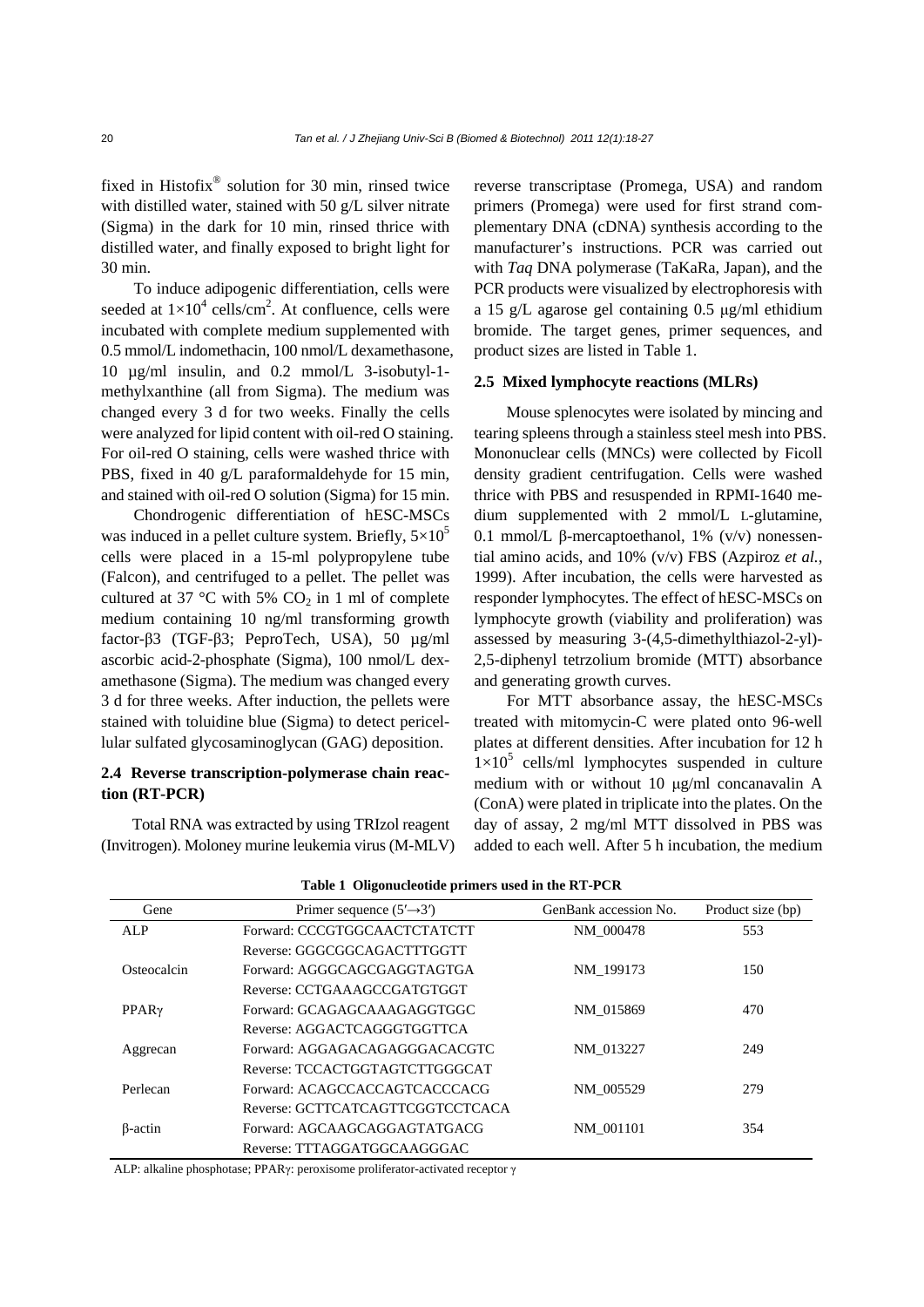fixed in Histofix<sup>®</sup> solution for 30 min, rinsed twice with distilled water, stained with 50 g/L silver nitrate (Sigma) in the dark for 10 min, rinsed thrice with distilled water, and finally exposed to bright light for 30 min.

To induce adipogenic differentiation, cells were seeded at  $1\times10^4$  cells/cm<sup>2</sup>. At confluence, cells were incubated with complete medium supplemented with 0.5 mmol/L indomethacin, 100 nmol/L dexamethasone, 10 µg/ml insulin, and 0.2 mmol/L 3-isobutyl-1 methylxanthine (all from Sigma). The medium was changed every 3 d for two weeks. Finally the cells were analyzed for lipid content with oil-red O staining. For oil-red O staining, cells were washed thrice with PBS, fixed in 40 g/L paraformaldehyde for 15 min, and stained with oil-red O solution (Sigma) for 15 min.

Chondrogenic differentiation of hESC-MSCs was induced in a pellet culture system. Briefly,  $5\times10^5$ cells were placed in a 15-ml polypropylene tube (Falcon), and centrifuged to a pellet. The pellet was cultured at 37 °C with 5%  $CO<sub>2</sub>$  in 1 ml of complete medium containing 10 ng/ml transforming growth factor-β3 (TGF-β3; PeproTech, USA), 50 µg/ml ascorbic acid-2-phosphate (Sigma), 100 nmol/L dexamethasone (Sigma). The medium was changed every 3 d for three weeks. After induction, the pellets were stained with toluidine blue (Sigma) to detect pericellular sulfated glycosaminoglycan (GAG) deposition.

# **2.4 Reverse transcription-polymerase chain reaction (RT-PCR)**

Total RNA was extracted by using TRIzol reagent (Invitrogen). Moloney murine leukemia virus (M-MLV) reverse transcriptase (Promega, USA) and random primers (Promega) were used for first strand complementary DNA (cDNA) synthesis according to the manufacturer's instructions. PCR was carried out with *Taq* DNA polymerase (TaKaRa, Japan), and the PCR products were visualized by electrophoresis with a 15 g/L agarose gel containing 0.5 μg/ml ethidium bromide. The target genes, primer sequences, and product sizes are listed in Table 1.

#### **2.5 Mixed lymphocyte reactions (MLRs)**

Mouse splenocytes were isolated by mincing and tearing spleens through a stainless steel mesh into PBS. Mononuclear cells (MNCs) were collected by Ficoll density gradient centrifugation. Cells were washed thrice with PBS and resuspended in RPMI-1640 medium supplemented with 2 mmol/L L-glutamine, 0.1 mmol/L β-mercaptoethanol, 1% (v/v) nonessential amino acids, and 10% (v/v) FBS (Azpiroz *et al.*, 1999). After incubation, the cells were harvested as responder lymphocytes. The effect of hESC-MSCs on lymphocyte growth (viability and proliferation) was assessed by measuring 3-(4,5-dimethylthiazol-2-yl)- 2,5-diphenyl tetrzolium bromide (MTT) absorbance and generating growth curves.

For MTT absorbance assay, the hESC-MSCs treated with mitomycin-C were plated onto 96-well plates at different densities. After incubation for 12 h  $1\times10^5$  cells/ml lymphocytes suspended in culture medium with or without 10 μg/ml concanavalin A (ConA) were plated in triplicate into the plates. On the day of assay, 2 mg/ml MTT dissolved in PBS was added to each well. After 5 h incubation, the medium

| Gene           | Primer sequence $(5' \rightarrow 3')$ | GenBank accession No. | Product size (bp) |
|----------------|---------------------------------------|-----------------------|-------------------|
| ALP            | Forward: CCCGTGGCAACTCTATCTT          | NM 000478             | 553               |
|                | Reverse: GGGCGGCAGACTTTGGTT           |                       |                   |
| Osteocalcin    | Forward: AGGGCAGCGAGGTAGTGA           | NM 199173             | 150               |
|                | Reverse: CCTGAAAGCCGATGTGGT           |                       |                   |
| $PPAR\gamma$   | Forward: GCAGAGCAAAGAGGTGGC           | NM 015869             | 470               |
|                | Reverse: AGGACTCAGGGTGGTTCA           |                       |                   |
| Aggrecan       | Forward: AGGAGACAGAGGGACACGTC         | NM 013227             | 249               |
|                | Reverse: TCCACTGGTAGTCTTGGGCAT        |                       |                   |
| Perlecan       | Forward: ACAGCCACCAGTCACCCACG         | NM 005529             | 279               |
|                | Reverse: GCTTCATCAGTTCGGTCCTCACA      |                       |                   |
| $\beta$ -actin | Forward: AGCAAGCAGGAGTATGACG          | NM 001101             | 354               |
|                | Reverse: TTTAGGATGGCAAGGGAC           |                       |                   |

| Table 1 Oligonucleotide primers used in the RT-PCR |  |  |  |  |  |  |  |  |  |
|----------------------------------------------------|--|--|--|--|--|--|--|--|--|
|----------------------------------------------------|--|--|--|--|--|--|--|--|--|

ALP: alkaline phosphotase; PPARγ: peroxisome proliferator-activated receptor γ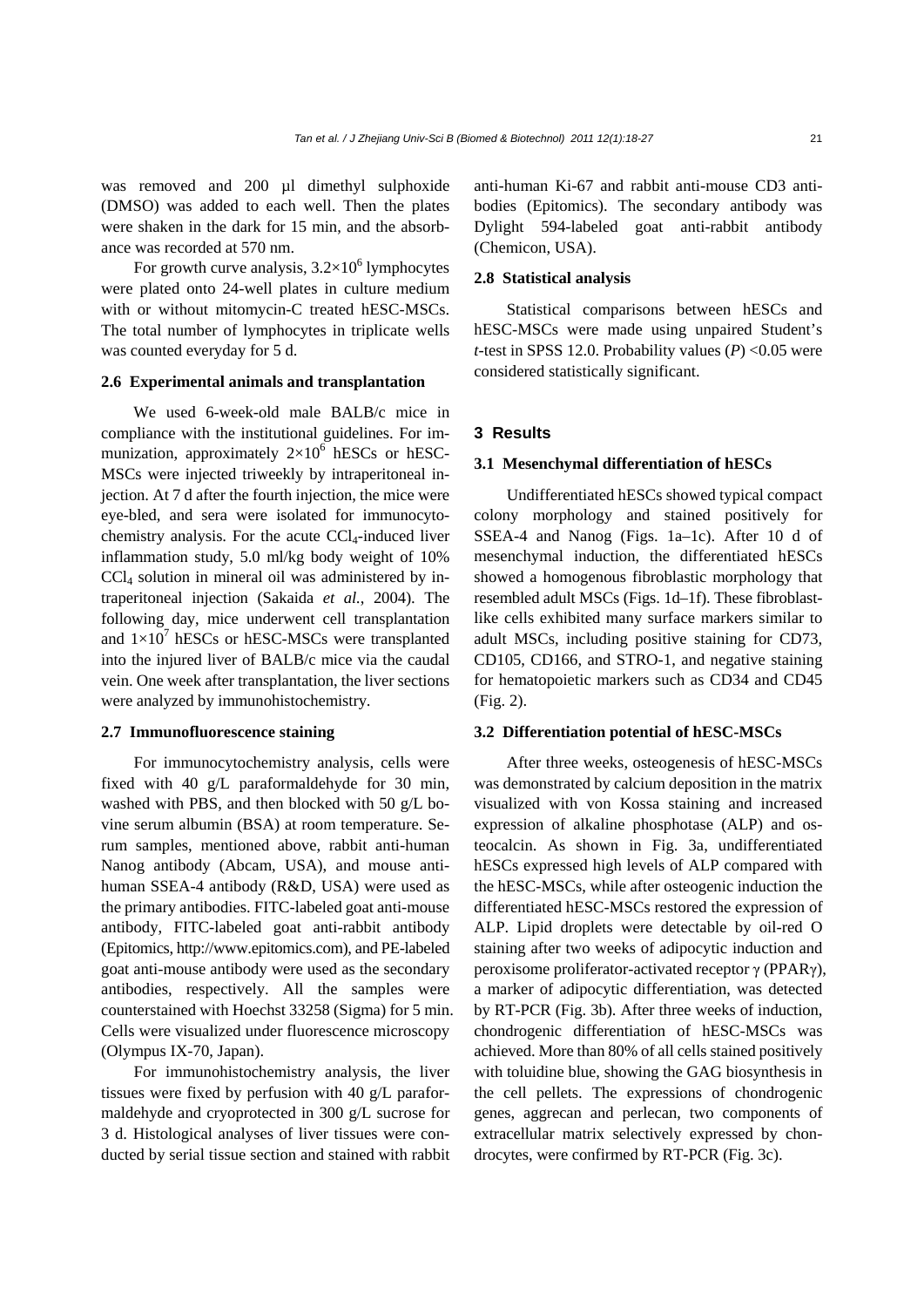was removed and 200 µl dimethyl sulphoxide (DMSO) was added to each well. Then the plates were shaken in the dark for 15 min, and the absorbance was recorded at 570 nm.

For growth curve analysis,  $3.2 \times 10^6$  lymphocytes were plated onto 24-well plates in culture medium with or without mitomycin-C treated hESC-MSCs. The total number of lymphocytes in triplicate wells was counted everyday for 5 d.

## **2.6 Experimental animals and transplantation**

We used 6-week-old male BALB/c mice in compliance with the institutional guidelines. For immunization, approximately  $2\times10^6$  hESCs or hESC-MSCs were injected triweekly by intraperitoneal injection. At 7 d after the fourth injection, the mice were eye-bled, and sera were isolated for immunocytochemistry analysis. For the acute  $CCL$ -induced liver inflammation study, 5.0 ml/kg body weight of 10% CCl4 solution in mineral oil was administered by intraperitoneal injection (Sakaida *et al.*, 2004). The following day, mice underwent cell transplantation and  $1 \times 10^7$  hESCs or hESC-MSCs were transplanted into the injured liver of BALB/c mice via the caudal vein. One week after transplantation, the liver sections were analyzed by immunohistochemistry.

#### **2.7 Immunofluorescence staining**

For immunocytochemistry analysis, cells were fixed with 40 g/L paraformaldehyde for 30 min, washed with PBS, and then blocked with 50 g/L bovine serum albumin (BSA) at room temperature. Serum samples, mentioned above, rabbit anti-human Nanog antibody (Abcam, USA), and mouse antihuman SSEA-4 antibody (R&D, USA) were used as the primary antibodies. FITC-labeled goat anti-mouse antibody, FITC-labeled goat anti-rabbit antibody (Epitomics, http://www.epitomics.com), and PE-labeled goat anti-mouse antibody were used as the secondary antibodies, respectively. All the samples were counterstained with Hoechst 33258 (Sigma) for 5 min. Cells were visualized under fluorescence microscopy (Olympus IX-70, Japan).

For immunohistochemistry analysis, the liver tissues were fixed by perfusion with 40 g/L paraformaldehyde and cryoprotected in 300 g/L sucrose for 3 d. Histological analyses of liver tissues were conducted by serial tissue section and stained with rabbit anti-human Ki-67 and rabbit anti-mouse CD3 antibodies (Epitomics). The secondary antibody was Dylight 594-labeled goat anti-rabbit antibody (Chemicon, USA).

## **2.8 Statistical analysis**

Statistical comparisons between hESCs and hESC-MSCs were made using unpaired Student's *t*-test in SPSS 12.0. Probability values (*P*) <0.05 were considered statistically significant.

# **3 Results**

#### **3.1 Mesenchymal differentiation of hESCs**

Undifferentiated hESCs showed typical compact colony morphology and stained positively for SSEA-4 and Nanog (Figs. 1a–1c). After 10 d of mesenchymal induction, the differentiated hESCs showed a homogenous fibroblastic morphology that resembled adult MSCs (Figs. 1d–1f). These fibroblastlike cells exhibited many surface markers similar to adult MSCs, including positive staining for CD73, CD105, CD166, and STRO-1, and negative staining for hematopoietic markers such as CD34 and CD45 (Fig. 2).

#### **3.2 Differentiation potential of hESC-MSCs**

After three weeks, osteogenesis of hESC-MSCs was demonstrated by calcium deposition in the matrix visualized with von Kossa staining and increased expression of alkaline phosphotase (ALP) and osteocalcin. As shown in Fig. 3a, undifferentiated hESCs expressed high levels of ALP compared with the hESC-MSCs, while after osteogenic induction the differentiated hESC-MSCs restored the expression of ALP. Lipid droplets were detectable by oil-red O staining after two weeks of adipocytic induction and peroxisome proliferator-activated receptor γ (PPARγ), a marker of adipocytic differentiation, was detected by RT-PCR (Fig. 3b). After three weeks of induction, chondrogenic differentiation of hESC-MSCs was achieved. More than 80% of all cells stained positively with toluidine blue, showing the GAG biosynthesis in the cell pellets. The expressions of chondrogenic genes, aggrecan and perlecan, two components of extracellular matrix selectively expressed by chondrocytes, were confirmed by RT-PCR (Fig. 3c).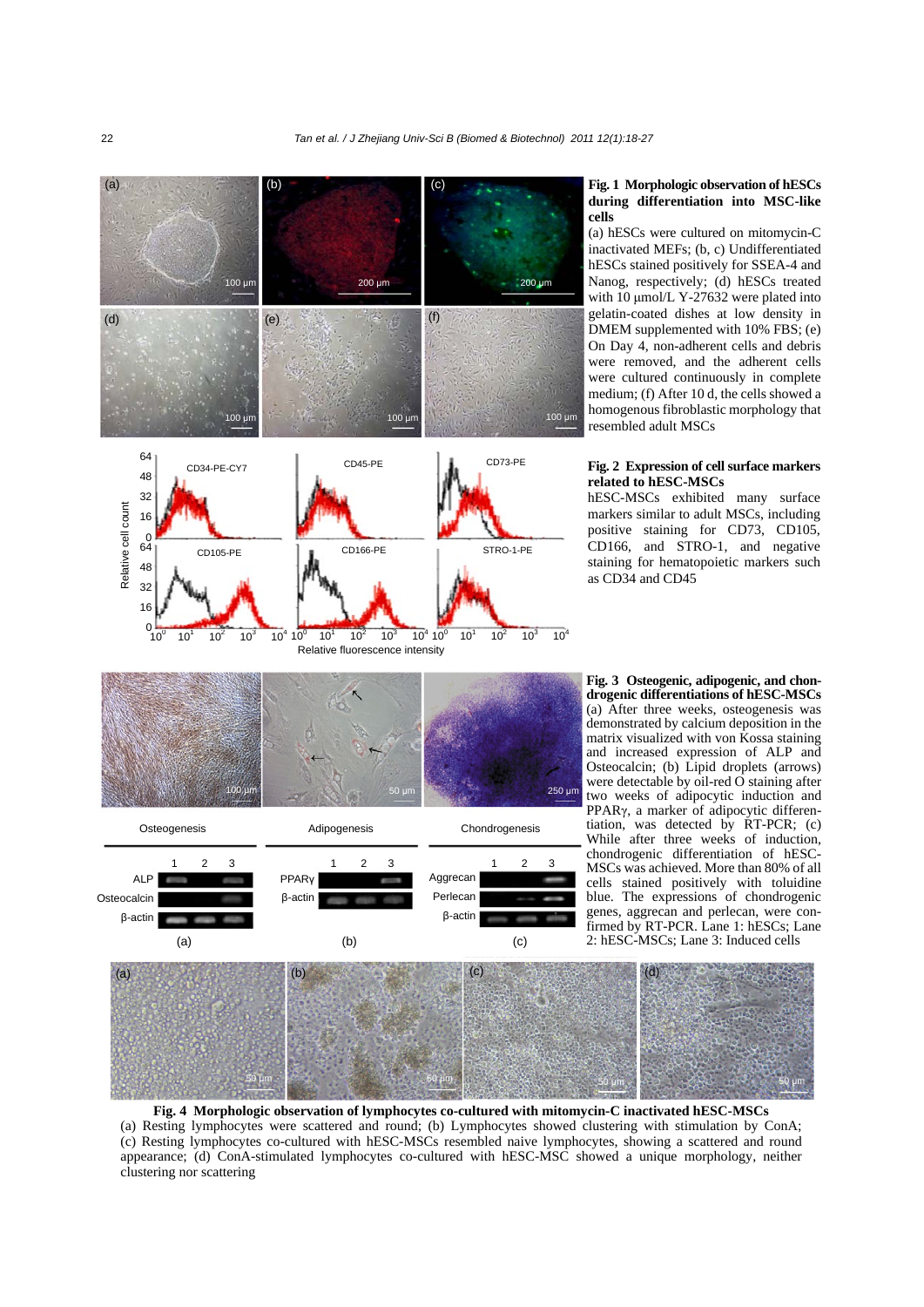

# **Fig. 1 Morphologic observation of hESCs during differentiation into MSC-like**

(a) hESCs were cultured on mitomycin-C inactivated MEFs; (b, c) Undifferentiated hESCs stained positively for SSEA-4 and Nanog, respectively; (d) hESCs treated with 10 μmol/L Y-27632 were plated into gelatin-coated dishes at low density in DMEM supplemented with 10% FBS; (e) On Day 4, non-adherent cells and debris were removed, and the adherent cells were cultured continuously in complete medium; (f) After 10 d, the cells showed a homogenous fibroblastic morphology that resembled adult MSCs

#### **Fig. 2 Expression of cell surface markers related to hESC-MSCs**

hESC-MSCs exhibited many surface markers similar to adult MSCs, including positive staining for CD73, CD105, CD166, and STRO-1, and negative staining for hematopoietic markers such as CD34 and CD45

**Fig. 3 Osteogenic, adipogenic, and chondrogenic differentiations of hESC-MSCs** (a) After three weeks, osteogenesis was demonstrated by calcium deposition in the matrix visualized with von Kossa staining and increased expression of ALP and Osteocalcin; (b) Lipid droplets (arrows) were detectable by oil-red  $\overrightarrow{O}$  staining after two weeks of adipocytic induction and PPARγ, a marker of adipocytic differentiation, was detected by RT-PCR; (c) While after three weeks of induction, chondrogenic differentiation of hESC-MSCs was achieved. More than 80% of all cells stained positively with toluidine blue. The expressions of chondrogenic genes, aggrecan and perlecan, were confirmed by RT-PCR. Lane 1: hESCs; Lane 2: hESC-MSCs; Lane 3: Induced cells



**Fig. 4 Morphologic observation of lymphocytes co-cultured with mitomycin-C inactivated hESC-MSCs** (a) Resting lymphocytes were scattered and round; (b) Lymphocytes showed clustering with stimulation by ConA; (c) Resting lymphocytes co-cultured with hESC-MSCs resembled naive lymphocytes, showing a scattered and round appearance; (d) ConA-stimulated lymphocytes co-cultured with hESC-MSC showed a unique morphology, neither clustering nor scattering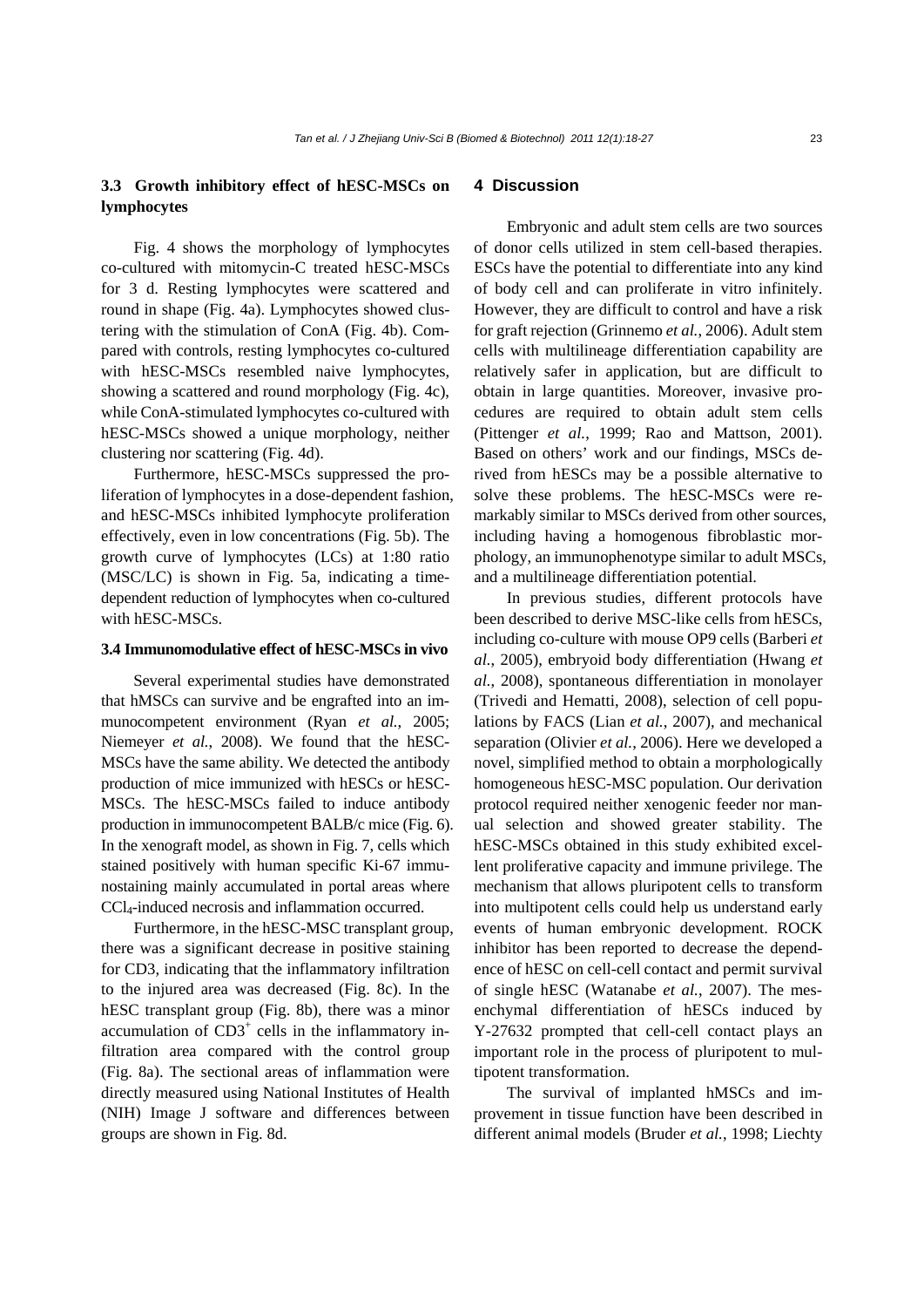# **3.3 Growth inhibitory effect of hESC-MSCs on lymphocytes**

Fig. 4 shows the morphology of lymphocytes co-cultured with mitomycin-C treated hESC-MSCs for 3 d. Resting lymphocytes were scattered and round in shape (Fig. 4a). Lymphocytes showed clustering with the stimulation of ConA (Fig. 4b). Compared with controls, resting lymphocytes co-cultured with hESC-MSCs resembled naive lymphocytes, showing a scattered and round morphology (Fig. 4c), while ConA-stimulated lymphocytes co-cultured with hESC-MSCs showed a unique morphology, neither clustering nor scattering (Fig. 4d).

Furthermore, hESC-MSCs suppressed the proliferation of lymphocytes in a dose-dependent fashion, and hESC-MSCs inhibited lymphocyte proliferation effectively, even in low concentrations (Fig. 5b). The growth curve of lymphocytes (LCs) at 1:80 ratio (MSC/LC) is shown in Fig. 5a, indicating a timedependent reduction of lymphocytes when co-cultured with hESC-MSCs.

### **3.4 Immunomodulative effect of hESC-MSCs in vivo**

Several experimental studies have demonstrated that hMSCs can survive and be engrafted into an immunocompetent environment (Ryan *et al.*, 2005; Niemeyer *et al.*, 2008). We found that the hESC-MSCs have the same ability. We detected the antibody production of mice immunized with hESCs or hESC-MSCs. The hESC-MSCs failed to induce antibody production in immunocompetent BALB/c mice (Fig. 6). In the xenograft model, as shown in Fig. 7, cells which stained positively with human specific Ki-67 immunostaining mainly accumulated in portal areas where CCl4-induced necrosis and inflammation occurred.

Furthermore, in the hESC-MSC transplant group, there was a significant decrease in positive staining for CD3, indicating that the inflammatory infiltration to the injured area was decreased (Fig. 8c). In the hESC transplant group (Fig. 8b), there was a minor accumulation of  $CD3<sup>+</sup>$  cells in the inflammatory infiltration area compared with the control group (Fig. 8a). The sectional areas of inflammation were directly measured using National Institutes of Health (NIH) Image J software and differences between groups are shown in Fig. 8d.

# **4 Discussion**

Embryonic and adult stem cells are two sources of donor cells utilized in stem cell-based therapies. ESCs have the potential to differentiate into any kind of body cell and can proliferate in vitro infinitely. However, they are difficult to control and have a risk for graft rejection (Grinnemo *et al.*, 2006). Adult stem cells with multilineage differentiation capability are relatively safer in application, but are difficult to obtain in large quantities. Moreover, invasive procedures are required to obtain adult stem cells (Pittenger *et al.*, 1999; Rao and Mattson, 2001). Based on others' work and our findings, MSCs derived from hESCs may be a possible alternative to solve these problems. The hESC-MSCs were remarkably similar to MSCs derived from other sources, including having a homogenous fibroblastic morphology, an immunophenotype similar to adult MSCs, and a multilineage differentiation potential.

In previous studies, different protocols have been described to derive MSC-like cells from hESCs, including co-culture with mouse OP9 cells (Barberi *et al.*, 2005), embryoid body differentiation (Hwang *et al.*, 2008), spontaneous differentiation in monolayer (Trivedi and Hematti, 2008), selection of cell populations by FACS (Lian *et al.*, 2007), and mechanical separation (Olivier *et al.*, 2006). Here we developed a novel, simplified method to obtain a morphologically homogeneous hESC-MSC population. Our derivation protocol required neither xenogenic feeder nor manual selection and showed greater stability. The hESC-MSCs obtained in this study exhibited excellent proliferative capacity and immune privilege. The mechanism that allows pluripotent cells to transform into multipotent cells could help us understand early events of human embryonic development. ROCK inhibitor has been reported to decrease the dependence of hESC on cell-cell contact and permit survival of single hESC (Watanabe *et al.*, 2007). The mesenchymal differentiation of hESCs induced by Y-27632 prompted that cell-cell contact plays an important role in the process of pluripotent to multipotent transformation.

The survival of implanted hMSCs and improvement in tissue function have been described in different animal models (Bruder *et al.*, 1998; Liechty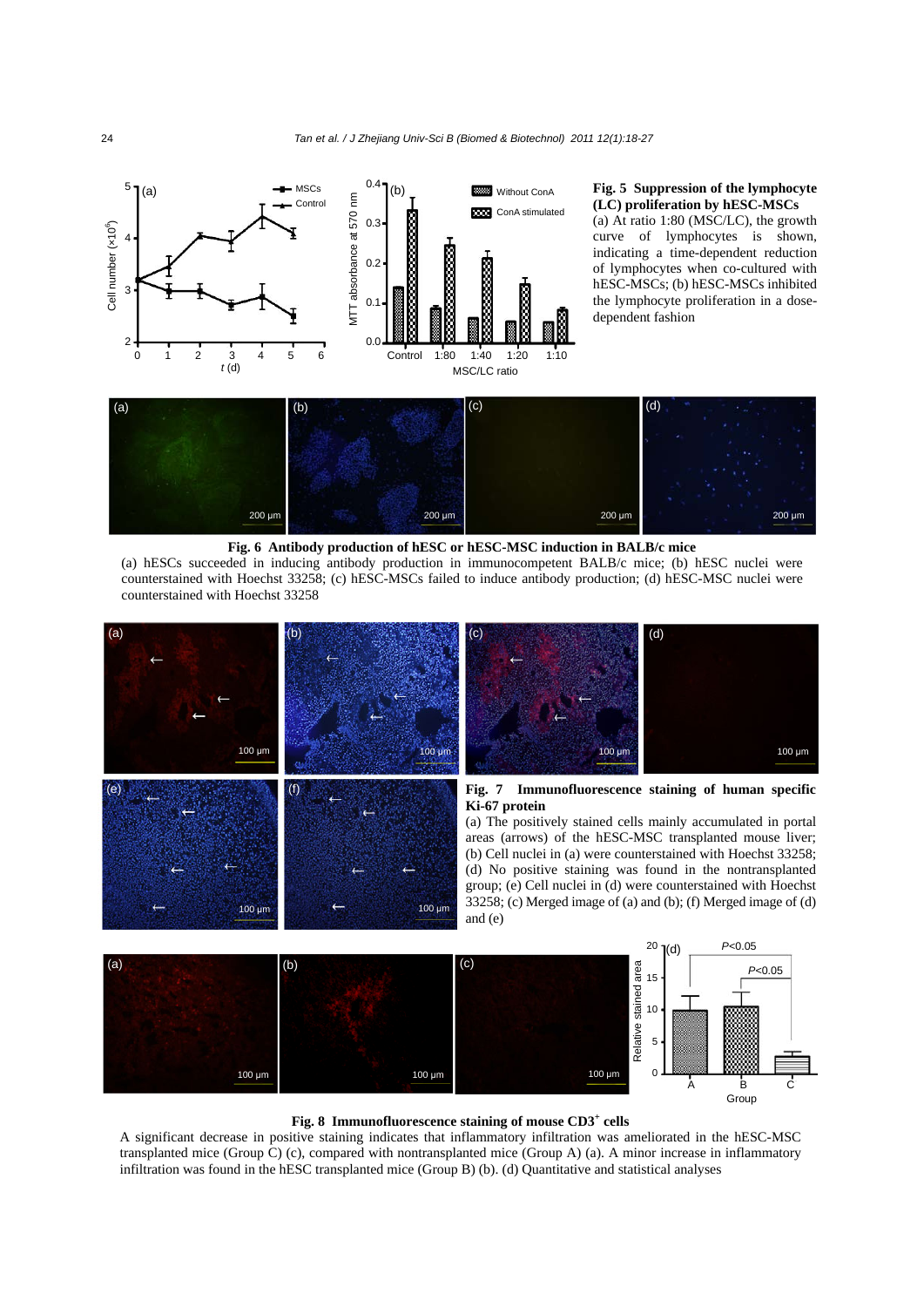

# **(LC) proliferation by hESC-MSCs**

(a) At ratio 1:80 (MSC/LC), the growth curve of lymphocytes is shown, indicating a time-dependent reduction of lymphocytes when co-cultured with hESC-MSCs; (b) hESC-MSCs inhibited the lymphocyte proliferation in a dosedependent fashion



# **Fig. 6 Antibody production of hESC or hESC-MSC induction in BALB/c mice**

(a) hESCs succeeded in inducing antibody production in immunocompetent BALB/c mice; (b) hESC nuclei were counterstained with Hoechst 33258; (c) hESC-MSCs failed to induce antibody production; (d) hESC-MSC nuclei were counterstained with Hoechst 33258







A significant decrease in positive staining indicates that inflammatory infiltration was ameliorated in the hESC-MSC transplanted mice (Group C) (c), compared with nontransplanted mice (Group A) (a). A minor increase in inflammatory infiltration was found in the hESC transplanted mice (Group B) (b). (d) Quantitative and statistical analyses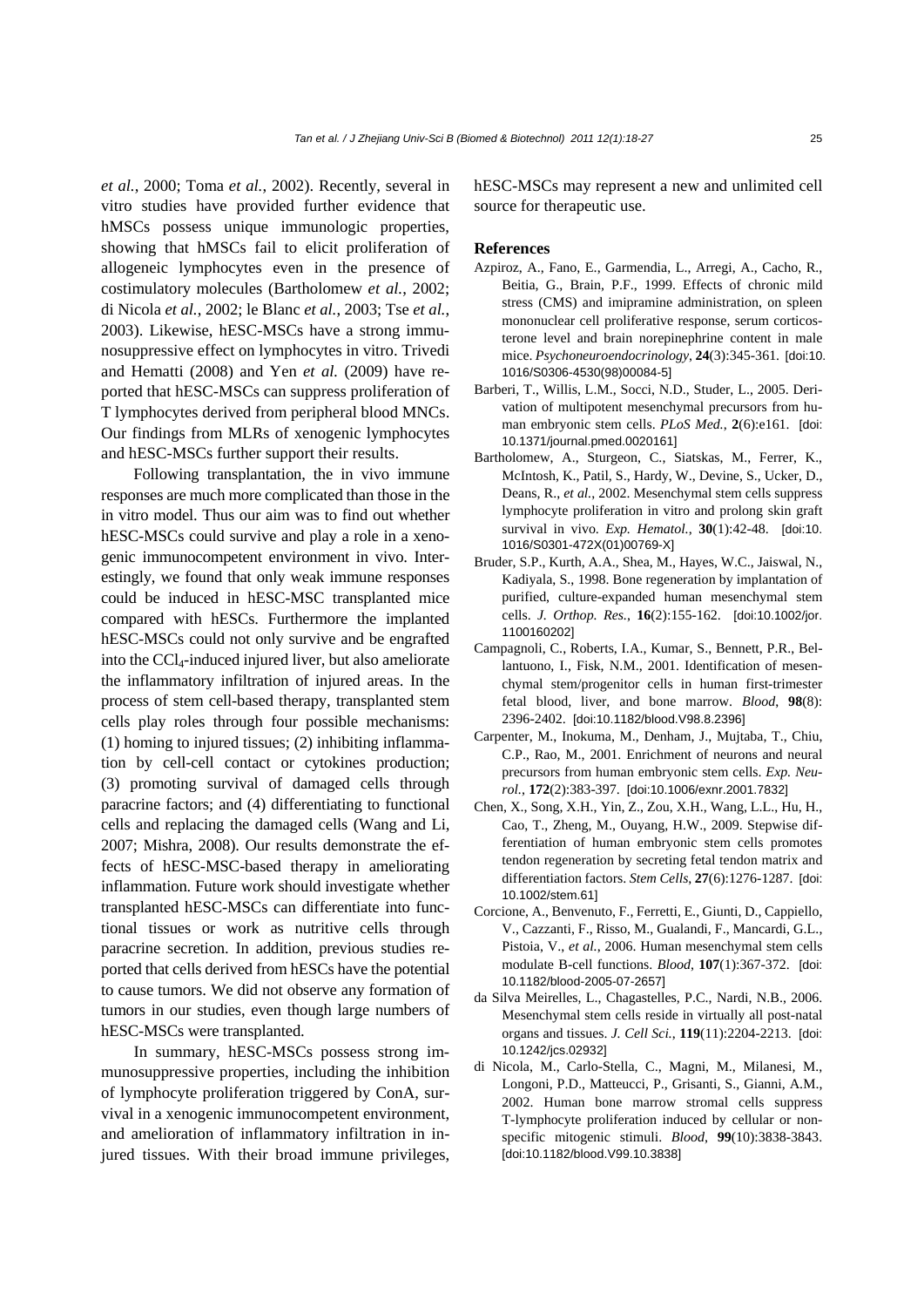*et al.*, 2000; Toma *et al.*, 2002). Recently, several in vitro studies have provided further evidence that hMSCs possess unique immunologic properties, showing that hMSCs fail to elicit proliferation of allogeneic lymphocytes even in the presence of costimulatory molecules (Bartholomew *et al.*, 2002; di Nicola *et al.*, 2002; le Blanc *et al.*, 2003; Tse *et al.*, 2003). Likewise, hESC-MSCs have a strong immunosuppressive effect on lymphocytes in vitro. Trivedi and Hematti (2008) and Yen *et al.* (2009) have reported that hESC-MSCs can suppress proliferation of T lymphocytes derived from peripheral blood MNCs. Our findings from MLRs of xenogenic lymphocytes and hESC-MSCs further support their results.

Following transplantation, the in vivo immune responses are much more complicated than those in the in vitro model. Thus our aim was to find out whether hESC-MSCs could survive and play a role in a xenogenic immunocompetent environment in vivo. Interestingly, we found that only weak immune responses could be induced in hESC-MSC transplanted mice compared with hESCs. Furthermore the implanted hESC-MSCs could not only survive and be engrafted into the CCl4-induced injured liver, but also ameliorate the inflammatory infiltration of injured areas. In the process of stem cell-based therapy, transplanted stem cells play roles through four possible mechanisms: (1) homing to injured tissues; (2) inhibiting inflammation by cell-cell contact or cytokines production; (3) promoting survival of damaged cells through paracrine factors; and (4) differentiating to functional cells and replacing the damaged cells (Wang and Li, 2007; Mishra, 2008). Our results demonstrate the effects of hESC-MSC-based therapy in ameliorating inflammation. Future work should investigate whether transplanted hESC-MSCs can differentiate into functional tissues or work as nutritive cells through paracrine secretion. In addition, previous studies reported that cells derived from hESCs have the potential to cause tumors. We did not observe any formation of tumors in our studies, even though large numbers of hESC-MSCs were transplanted.

In summary, hESC-MSCs possess strong immunosuppressive properties, including the inhibition of lymphocyte proliferation triggered by ConA, survival in a xenogenic immunocompetent environment, and amelioration of inflammatory infiltration in injured tissues. With their broad immune privileges, hESC-MSCs may represent a new and unlimited cell source for therapeutic use.

#### **References**

- Azpiroz, A., Fano, E., Garmendia, L., Arregi, A., Cacho, R., Beitia, G., Brain, P.F., 1999. Effects of chronic mild stress (CMS) and imipramine administration, on spleen mononuclear cell proliferative response, serum corticosterone level and brain norepinephrine content in male mice. *Psychoneuroendocrinology*, **24**(3):345-361. [doi:10. 1016/S0306-4530(98)00084-5]
- Barberi, T., Willis, L.M., Socci, N.D., Studer, L., 2005. Derivation of multipotent mesenchymal precursors from human embryonic stem cells. *PLoS Med.*, **2**(6):e161. [doi: 10.1371/journal.pmed.0020161]
- Bartholomew, A., Sturgeon, C., Siatskas, M., Ferrer, K., McIntosh, K., Patil, S., Hardy, W., Devine, S., Ucker, D., Deans, R., *et al.*, 2002. Mesenchymal stem cells suppress lymphocyte proliferation in vitro and prolong skin graft survival in vivo. *Exp. Hematol.*, **30**(1):42-48. [doi:10. 1016/S0301-472X(01)00769-X]
- Bruder, S.P., Kurth, A.A., Shea, M., Hayes, W.C., Jaiswal, N., Kadiyala, S., 1998. Bone regeneration by implantation of purified, culture-expanded human mesenchymal stem cells. *J. Orthop. Res.*, **16**(2):155-162. [doi:10.1002/jor. 1100160202]
- Campagnoli, C., Roberts, I.A., Kumar, S., Bennett, P.R., Bellantuono, I., Fisk, N.M., 2001. Identification of mesenchymal stem/progenitor cells in human first-trimester fetal blood, liver, and bone marrow. *Blood*, **98**(8): 2396-2402. [doi:10.1182/blood.V98.8.2396]
- Carpenter, M., Inokuma, M., Denham, J., Mujtaba, T., Chiu, C.P., Rao, M., 2001. Enrichment of neurons and neural precursors from human embryonic stem cells. *Exp. Neurol.*, **172**(2):383-397. [doi:10.1006/exnr.2001.7832]
- Chen, X., Song, X.H., Yin, Z., Zou, X.H., Wang, L.L., Hu, H., Cao, T., Zheng, M., Ouyang, H.W., 2009. Stepwise differentiation of human embryonic stem cells promotes tendon regeneration by secreting fetal tendon matrix and differentiation factors. *Stem Cells*, **27**(6):1276-1287. [doi: 10.1002/stem.61]
- Corcione, A., Benvenuto, F., Ferretti, E., Giunti, D., Cappiello, V., Cazzanti, F., Risso, M., Gualandi, F., Mancardi, G.L., Pistoia, V., *et al.*, 2006. Human mesenchymal stem cells modulate B-cell functions. *Blood*, **107**(1):367-372. [doi: 10.1182/blood-2005-07-2657]
- da Silva Meirelles, L., Chagastelles, P.C., Nardi, N.B., 2006. Mesenchymal stem cells reside in virtually all post-natal organs and tissues. *J. Cell Sci.*, **119**(11):2204-2213. [doi: 10.1242/jcs.02932]
- di Nicola, M., Carlo-Stella, C., Magni, M., Milanesi, M., Longoni, P.D., Matteucci, P., Grisanti, S., Gianni, A.M., 2002. Human bone marrow stromal cells suppress T-lymphocyte proliferation induced by cellular or nonspecific mitogenic stimuli. *Blood*, **99**(10):3838-3843. [doi:10.1182/blood.V99.10.3838]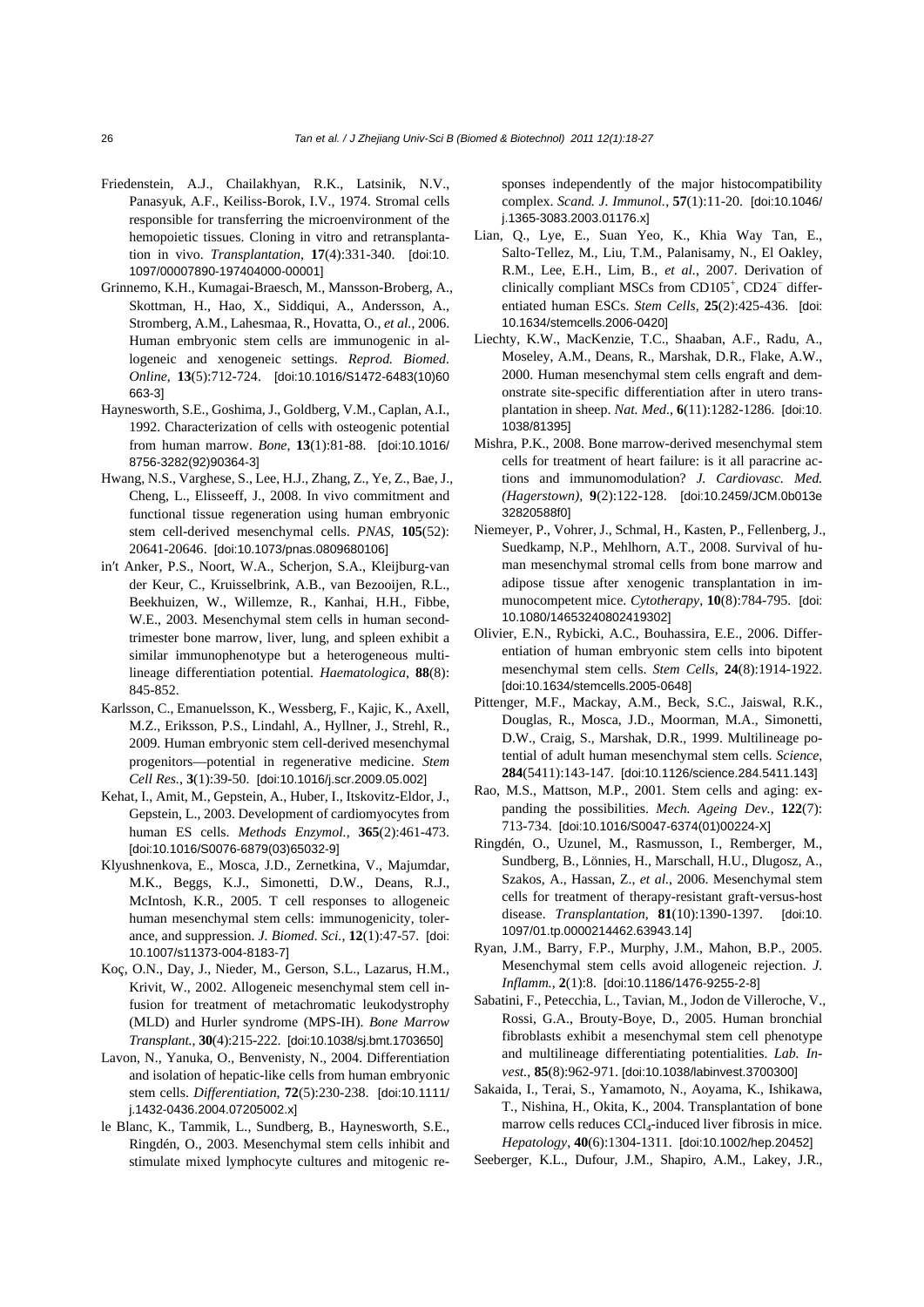- Friedenstein, A.J., Chailakhyan, R.K., Latsinik, N.V., Panasyuk, A.F., Keiliss-Borok, I.V., 1974. Stromal cells responsible for transferring the microenvironment of the hemopoietic tissues. Cloning in vitro and retransplantation in vivo. *Transplantation*, **17**(4):331-340. [doi:10. 1097/00007890-197404000-00001]
- Grinnemo, K.H., Kumagai-Braesch, M., Mansson-Broberg, A., Skottman, H., Hao, X., Siddiqui, A., Andersson, A., Stromberg, A.M., Lahesmaa, R., Hovatta, O., *et al.*, 2006. Human embryonic stem cells are immunogenic in allogeneic and xenogeneic settings. *Reprod. Biomed. Online*, **13**(5):712-724. [doi:10.1016/S1472-6483(10)60 663-3]
- Haynesworth, S.E., Goshima, J., Goldberg, V.M., Caplan, A.I., 1992. Characterization of cells with osteogenic potential from human marrow. *Bone*, **13**(1):81-88. [doi:10.1016/ 8756-3282(92)90364-3]
- Hwang, N.S., Varghese, S., Lee, H.J., Zhang, Z., Ye, Z., Bae, J., Cheng, L., Elisseeff, J., 2008. In vivo commitment and functional tissue regeneration using human embryonic stem cell-derived mesenchymal cells. *PNAS*, **105**(52): 20641-20646. [doi:10.1073/pnas.0809680106]
- in′t Anker, P.S., Noort, W.A., Scherjon, S.A., Kleijburg-van der Keur, C., Kruisselbrink, A.B., van Bezooijen, R.L., Beekhuizen, W., Willemze, R., Kanhai, H.H., Fibbe, W.E., 2003. Mesenchymal stem cells in human secondtrimester bone marrow, liver, lung, and spleen exhibit a similar immunophenotype but a heterogeneous multilineage differentiation potential. *Haematologica*, **88**(8): 845-852.
- Karlsson, C., Emanuelsson, K., Wessberg, F., Kajic, K., Axell, M.Z., Eriksson, P.S., Lindahl, A., Hyllner, J., Strehl, R., 2009. Human embryonic stem cell-derived mesenchymal progenitors—potential in regenerative medicine. *Stem Cell Res.*, **3**(1):39-50. [doi:10.1016/j.scr.2009.05.002]
- Kehat, I., Amit, M., Gepstein, A., Huber, I., Itskovitz-Eldor, J., Gepstein, L., 2003. Development of cardiomyocytes from human ES cells. *Methods Enzymol.*, **365**(2):461-473. [doi:10.1016/S0076-6879(03)65032-9]
- Klyushnenkova, E., Mosca, J.D., Zernetkina, V., Majumdar, M.K., Beggs, K.J., Simonetti, D.W., Deans, R.J., McIntosh, K.R., 2005. T cell responses to allogeneic human mesenchymal stem cells: immunogenicity, tolerance, and suppression. *J. Biomed. Sci.*, **12**(1):47-57. [doi: 10.1007/s11373-004-8183-7]
- Koç, O.N., Day, J., Nieder, M., Gerson, S.L., Lazarus, H.M., Krivit, W., 2002. Allogeneic mesenchymal stem cell infusion for treatment of metachromatic leukodystrophy (MLD) and Hurler syndrome (MPS-IH). *Bone Marrow Transplant.*, **30**(4):215-222. [doi:10.1038/sj.bmt.1703650]
- Lavon, N., Yanuka, O., Benvenisty, N., 2004. Differentiation and isolation of hepatic-like cells from human embryonic stem cells. *Differentiation*, **72**(5):230-238. [doi:10.1111/ j.1432-0436.2004.07205002.x]
- le Blanc, K., Tammik, L., Sundberg, B., Haynesworth, S.E., Ringdén, O., 2003. Mesenchymal stem cells inhibit and stimulate mixed lymphocyte cultures and mitogenic re-

sponses independently of the major histocompatibility complex. *Scand. J. Immunol.*, **57**(1):11-20. [doi:10.1046/ j.1365-3083.2003.01176.x]

- Lian, Q., Lye, E., Suan Yeo, K., Khia Way Tan, E., Salto-Tellez, M., Liu, T.M., Palanisamy, N., El Oakley, R.M., Lee, E.H., Lim, B., *et al.*, 2007. Derivation of clinically compliant MSCs from CD105<sup>+</sup>, CD24<sup>-</sup> differentiated human ESCs. *Stem Cells*, **25**(2):425-436. [doi: 10.1634/stemcells.2006-0420]
- Liechty, K.W., MacKenzie, T.C., Shaaban, A.F., Radu, A., Moseley, A.M., Deans, R., Marshak, D.R., Flake, A.W., 2000. Human mesenchymal stem cells engraft and demonstrate site-specific differentiation after in utero transplantation in sheep. *Nat. Med.*, **6**(11):1282-1286. [doi:10. 1038/81395]
- Mishra, P.K., 2008. Bone marrow-derived mesenchymal stem cells for treatment of heart failure: is it all paracrine actions and immunomodulation? *J. Cardiovasc. Med. (Hagerstown)*, **9**(2):122-128. [doi:10.2459/JCM.0b013e 32820588f0]
- Niemeyer, P., Vohrer, J., Schmal, H., Kasten, P., Fellenberg, J., Suedkamp, N.P., Mehlhorn, A.T., 2008. Survival of human mesenchymal stromal cells from bone marrow and adipose tissue after xenogenic transplantation in immunocompetent mice. *Cytotherapy*, **10**(8):784-795. [doi: 10.1080/14653240802419302]
- Olivier, E.N., Rybicki, A.C., Bouhassira, E.E., 2006. Differentiation of human embryonic stem cells into bipotent mesenchymal stem cells. *Stem Cells*, **24**(8):1914-1922. [doi:10.1634/stemcells.2005-0648]
- Pittenger, M.F., Mackay, A.M., Beck, S.C., Jaiswal, R.K., Douglas, R., Mosca, J.D., Moorman, M.A., Simonetti, D.W., Craig, S., Marshak, D.R., 1999. Multilineage potential of adult human mesenchymal stem cells. *Science*, **284**(5411):143-147. [doi:10.1126/science.284.5411.143]
- Rao, M.S., Mattson, M.P., 2001. Stem cells and aging: expanding the possibilities. *Mech. Ageing Dev.*, **122**(7): 713-734. [doi:10.1016/S0047-6374(01)00224-X]
- Ringdén, O., Uzunel, M., Rasmusson, I., Remberger, M., Sundberg, B., Lönnies, H., Marschall, H.U., Dlugosz, A., Szakos, A., Hassan, Z., *et al.*, 2006. Mesenchymal stem cells for treatment of therapy-resistant graft-versus-host disease. *Transplantation*, **81**(10):1390-1397. [doi:10. 1097/01.tp.0000214462.63943.14]
- Ryan, J.M., Barry, F.P., Murphy, J.M., Mahon, B.P., 2005. Mesenchymal stem cells avoid allogeneic rejection. *J. Inflamm.*, **2**(1):8. [doi:10.1186/1476-9255-2-8]
- Sabatini, F., Petecchia, L., Tavian, M., Jodon de Villeroche, V., Rossi, G.A., Brouty-Boye, D., 2005. Human bronchial fibroblasts exhibit a mesenchymal stem cell phenotype and multilineage differentiating potentialities. *Lab. Invest.*, **85**(8):962-971. [doi:10.1038/labinvest.3700300]
- Sakaida, I., Terai, S., Yamamoto, N., Aoyama, K., Ishikawa, T., Nishina, H., Okita, K., 2004. Transplantation of bone marrow cells reduces  $CCl_4$ -induced liver fibrosis in mice. *Hepatology*, **40**(6):1304-1311. [doi:10.1002/hep.20452]
- Seeberger, K.L., Dufour, J.M., Shapiro, A.M., Lakey, J.R.,